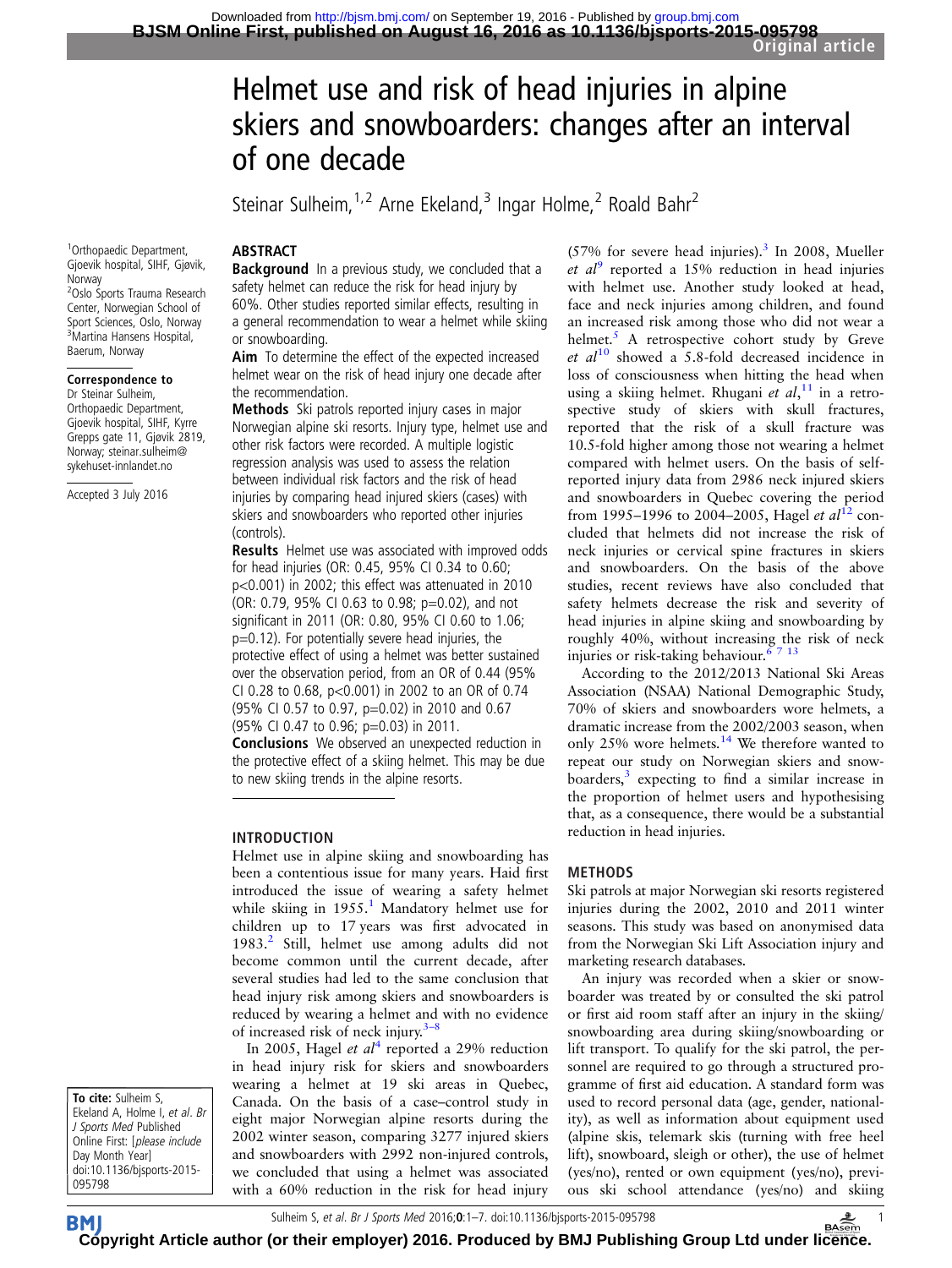# Helmet use and risk of head injuries in alpine skiers and snowboarders: changes after an interval of one decade

Steinar Sulheim,<sup>1,2</sup> Arne Ekeland,<sup>3</sup> Ingar Holme,<sup>2</sup> Roald Bahr<sup>2</sup>

# **ABSTRACT**

Background In a previous study, we concluded that a safety helmet can reduce the risk for head injury by 60%. Other studies reported similar effects, resulting in a general recommendation to wear a helmet while skiing or snowboarding.

Aim To determine the effect of the expected increased helmet wear on the risk of head injury one decade after the recommendation.

Methods Ski patrols reported injury cases in major Norwegian alpine ski resorts. Injury type, helmet use and other risk factors were recorded. A multiple logistic regression analysis was used to assess the relation between individual risk factors and the risk of head injuries by comparing head injured skiers (cases) with skiers and snowboarders who reported other injuries (controls).

**Results** Helmet use was associated with improved odds for head injuries (OR: 0.45, 95% CI 0.34 to 0.60; p<0.001) in 2002; this effect was attenuated in 2010 (OR: 0.79, 95% CI 0.63 to 0.98; p=0.02), and not significant in 2011 (OR: 0.80, 95% CI 0.60 to 1.06; p=0.12). For potentially severe head injuries, the protective effect of using a helmet was better sustained over the observation period, from an OR of 0.44 (95% CI 0.28 to 0.68, p<0.001) in 2002 to an OR of 0.74 (95% CI 0.57 to 0.97, p=0.02) in 2010 and 0.67 (95% CI 0.47 to 0.96; p=0.03) in 2011.

Conclusions We observed an unexpected reduction in the protective effect of a skiing helmet. This may be due to new skiing trends in the alpine resorts.

### INTRODUCTION

Helmet use in alpine skiing and snowboarding has been a contentious issue for many years. Haid first introduced the issue of wearing a safety helmet while skiing in [1](#page-6-0)955.<sup>1</sup> Mandatory helmet use for children up to 17 years was first advocated in 1983.<sup>[2](#page-6-0)</sup> Still, helmet use among adults did not become common until the current decade, after several studies had led to the same conclusion that head injury risk among skiers and snowboarders is reduced by wearing a helmet and with no evidence of increased risk of neck injury. $3-8$  $3-8$ 

In 2005, Hagel et  $al^4$  $al^4$  reported a 29% reduction in head injury risk for skiers and snowboarders wearing a helmet at 19 ski areas in Quebec, Canada. On the basis of a case–control study in eight major Norwegian alpine resorts during the 2002 winter season, comparing 3277 injured skiers and snowboarders with 2992 non-injured controls, we concluded that using a helmet was associated with a 60% reduction in the risk for head injury

 $(57\%$  for severe head injuries).<sup>[3](#page-6-0)</sup> In 2008, Mueller et  $al^9$  $al^9$  reported a 15% reduction in head injuries with helmet use. Another study looked at head, face and neck injuries among children, and found an increased risk among those who did not wear a helmet. $5$  A retrospective cohort study by Greve et  $al^{10}$  $al^{10}$  $al^{10}$  showed a 5.8-fold decreased incidence in loss of consciousness when hitting the head when using a skiing helmet. Rhugani et  $al$ ,<sup>[11](#page-6-0)</sup> in a retrospective study of skiers with skull fractures, reported that the risk of a skull fracture was 10.5-fold higher among those not wearing a helmet compared with helmet users. On the basis of selfreported injury data from 2986 neck injured skiers and snowboarders in Quebec covering the period from 1995–1996 to 2004–2005, Hagel *et al*<sup>[12](#page-6-0)</sup> concluded that helmets did not increase the risk of neck injuries or cervical spine fractures in skiers and snowboarders. On the basis of the above studies, recent reviews have also concluded that safety helmets decrease the risk and severity of head injuries in alpine skiing and snowboarding by roughly 40%, without increasing the risk of neck injuries or risk-taking behaviour.<sup>67 13</sup>

According to the 2012/2013 National Ski Areas Association (NSAA) National Demographic Study, 70% of skiers and snowboarders wore helmets, a dramatic increase from the 2002/2003 season, when only 25% wore helmets.[14](#page-6-0) We therefore wanted to repeat our study on Norwegian skiers and snowboarders, $3$  expecting to find a similar increase in the proportion of helmet users and hypothesising that, as a consequence, there would be a substantial reduction in head injuries.

# METHODS

Ski patrols at major Norwegian ski resorts registered injuries during the 2002, 2010 and 2011 winter seasons. This study was based on anonymised data from the Norwegian Ski Lift Association injury and marketing research databases.

An injury was recorded when a skier or snowboarder was treated by or consulted the ski patrol or first aid room staff after an injury in the skiing/ snowboarding area during skiing/snowboarding or lift transport. To qualify for the ski patrol, the personnel are required to go through a structured programme of first aid education. A standard form was used to record personal data (age, gender, nationality), as well as information about equipment used (alpine skis, telemark skis (turning with free heel lift), snowboard, sleigh or other), the use of helmet (yes/no), rented or own equipment (yes/no), previous ski school attendance (yes/no) and skiing

1 Orthopaedic Department, Gjoevik hospital, SIHF, Gjøvik, Norway 2 Oslo Sports Trauma Research Center, Norwegian School of Sport Sciences, Oslo, Norway 3 Martina Hansens Hospital, Baerum, Norway

#### Correspondence to

Dr Steinar Sulheim, Orthopaedic Department, Gjoevik hospital, SIHF, Kyrre Grepps gate 11, Gjøvik 2819, Norway; steinar.sulheim@ sykehuset-innlandet.no

Accepted 3 July 2016

To cite: Sulheim S, Ekeland A, Holme I, et al. Br J Sports Med Published Online First: [please include Day Month Year] doi:10.1136/bjsports-2015- 095798

**BM** 

Sulheim S, et al. Br J Sports Med 2016;0:1–7. doi:10.1136/bjsports-2015-095798 1 **[Cop](http://bjsm.bmj.com)yright Article author (or their employer) 2016. Produced by BMJ Publishing Group Ltd under li[cenc](http://www.basem.co.uk/)e.**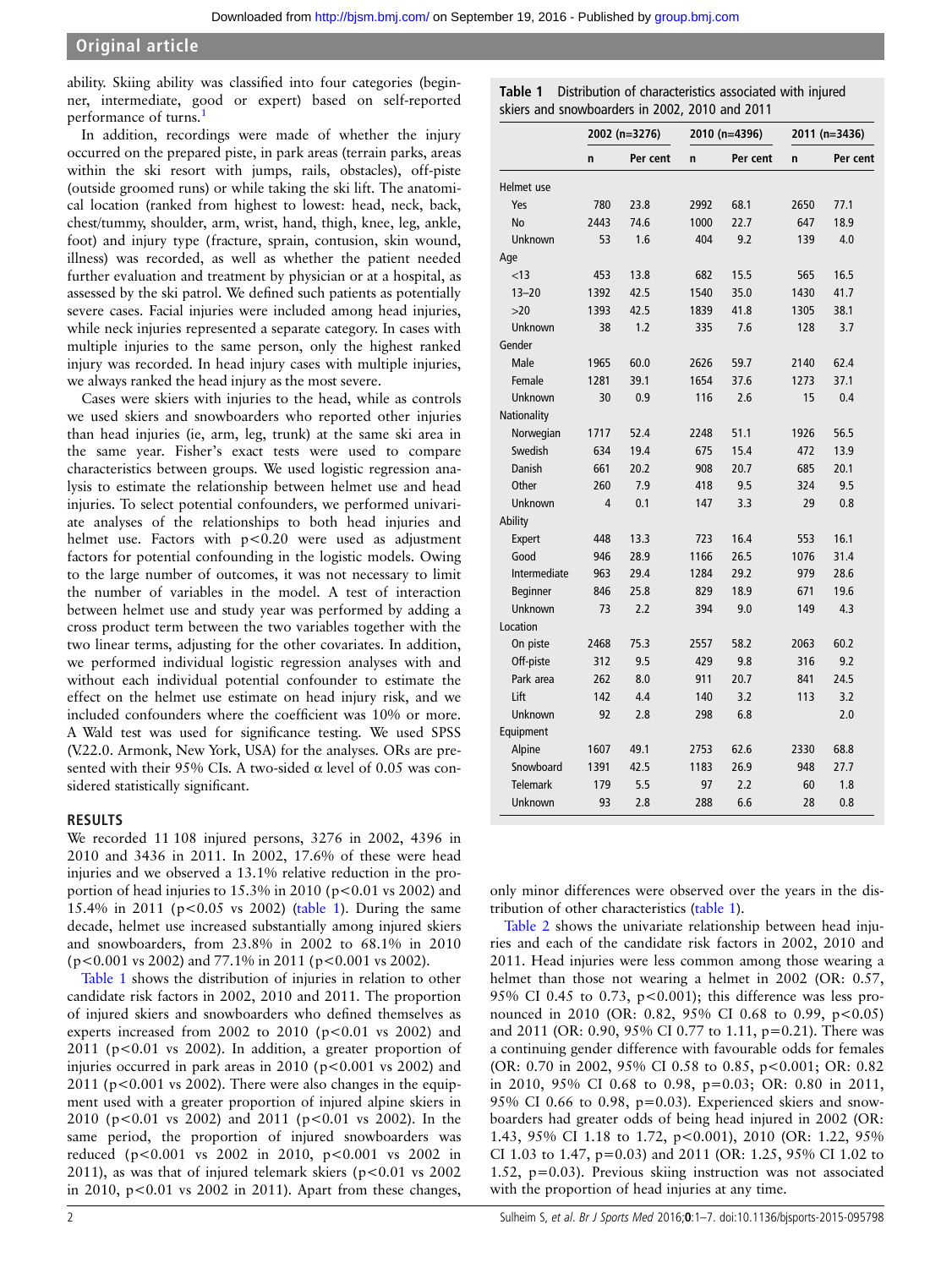ability. Skiing ability was classified into four categories (beginner, intermediate, good or expert) based on self-reported performance of turns.<sup>[1](#page-6-0)</sup>

In addition, recordings were made of whether the injury occurred on the prepared piste, in park areas (terrain parks, areas within the ski resort with jumps, rails, obstacles), off-piste (outside groomed runs) or while taking the ski lift. The anatomical location (ranked from highest to lowest: head, neck, back, chest/tummy, shoulder, arm, wrist, hand, thigh, knee, leg, ankle, foot) and injury type (fracture, sprain, contusion, skin wound, illness) was recorded, as well as whether the patient needed further evaluation and treatment by physician or at a hospital, as assessed by the ski patrol. We defined such patients as potentially severe cases. Facial injuries were included among head injuries, while neck injuries represented a separate category. In cases with multiple injuries to the same person, only the highest ranked injury was recorded. In head injury cases with multiple injuries, we always ranked the head injury as the most severe.

Cases were skiers with injuries to the head, while as controls we used skiers and snowboarders who reported other injuries than head injuries (ie, arm, leg, trunk) at the same ski area in the same year. Fisher's exact tests were used to compare characteristics between groups. We used logistic regression analysis to estimate the relationship between helmet use and head injuries. To select potential confounders, we performed univariate analyses of the relationships to both head injuries and helmet use. Factors with p<0.20 were used as adjustment factors for potential confounding in the logistic models. Owing to the large number of outcomes, it was not necessary to limit the number of variables in the model. A test of interaction between helmet use and study year was performed by adding a cross product term between the two variables together with the two linear terms, adjusting for the other covariates. In addition, we performed individual logistic regression analyses with and without each individual potential confounder to estimate the effect on the helmet use estimate on head injury risk, and we included confounders where the coefficient was 10% or more. A Wald test was used for significance testing. We used SPSS (V.22.0. Armonk, New York, USA) for the analyses. ORs are presented with their 95% CIs. A two-sided  $\alpha$  level of 0.05 was considered statistically significant.

### RESULTS

We recorded 11 108 injured persons, 3276 in 2002, 4396 in 2010 and 3436 in 2011. In 2002, 17.6% of these were head injuries and we observed a 13.1% relative reduction in the proportion of head injuries to  $15.3\%$  in 2010 (p<0.01 vs 2002) and 15.4% in 2011 (p<0.05 vs 2002) (table 1). During the same decade, helmet use increased substantially among injured skiers and snowboarders, from 23.8% in 2002 to 68.1% in 2010 (p<0.001 vs 2002) and 77.1% in 2011 (p<0.001 vs 2002).

Table 1 shows the distribution of injuries in relation to other candidate risk factors in 2002, 2010 and 2011. The proportion of injured skiers and snowboarders who defined themselves as experts increased from 2002 to 2010 ( $p<0.01$  vs 2002) and 2011 (p<0.01 vs 2002). In addition, a greater proportion of injuries occurred in park areas in  $2010$  (p<0.001 vs 2002) and  $2011$  (p<0.001 vs 2002). There were also changes in the equipment used with a greater proportion of injured alpine skiers in 2010 (p<0.01 vs 2002) and 2011 (p<0.01 vs 2002). In the same period, the proportion of injured snowboarders was reduced (p<0.001 vs 2002 in 2010, p<0.001 vs 2002 in 2011), as was that of injured telemark skiers ( $p$ <0.01 vs 2002 in 2010, p<0.01 vs 2002 in 2011). Apart from these changes,

|  | Table 1 Distribution of characteristics associated with injured |  |  |
|--|-----------------------------------------------------------------|--|--|
|  | skiers and snowboarders in 2002, 2010 and 2011                  |  |  |

|                 | 2002 (n=3276) |          |              | 2010 (n=4396) | 2011 (n=3436) |          |  |
|-----------------|---------------|----------|--------------|---------------|---------------|----------|--|
|                 | n             | Per cent | $\mathsf{n}$ | Per cent      | n             | Per cent |  |
| Helmet use      |               |          |              |               |               |          |  |
| Yes             | 780           | 23.8     | 2992         | 68.1          | 2650          | 77.1     |  |
| No              | 2443          | 74.6     | 1000         | 22.7          | 647           | 18.9     |  |
| Unknown         | 53            | 1.6      | 404          | 9.2           | 139           | 4.0      |  |
| Age             |               |          |              |               |               |          |  |
| < 13            | 453           | 13.8     | 682          | 15.5          | 565           | 16.5     |  |
| $13 - 20$       | 1392          | 42.5     | 1540         | 35.0          | 1430          | 41.7     |  |
| >20             | 1393          | 42.5     | 1839         | 41.8          | 1305          | 38.1     |  |
| Unknown         | 38            | 1.2      | 335          | 7.6           | 128           | 3.7      |  |
| Gender          |               |          |              |               |               |          |  |
| Male            | 1965          | 60.0     | 2626         | 59.7          | 2140          | 62.4     |  |
| Female          | 1281          | 39.1     | 1654         | 37.6          | 1273          | 37.1     |  |
| Unknown         | 30            | 0.9      | 116          | 2.6           | 15            | 0.4      |  |
| Nationality     |               |          |              |               |               |          |  |
| Norwegian       | 1717          | 52.4     | 2248         | 51.1          | 1926          | 56.5     |  |
| Swedish         | 634           | 19.4     | 675          | 15.4          | 472           | 13.9     |  |
| <b>Danish</b>   | 661           | 20.2     | 908          | 20.7          | 685           | 20.1     |  |
| Other           | 260           | 7.9      | 418          | 9.5           | 324           | 9.5      |  |
| Unknown         | 4             | 0.1      | 147          | 3.3           | 29            | 0.8      |  |
| Ability         |               |          |              |               |               |          |  |
| Expert          | 448           | 13.3     | 723          | 16.4          | 553           | 16.1     |  |
| Good            | 946           | 28.9     | 1166         | 26.5          | 1076          | 31.4     |  |
| Intermediate    | 963           | 29.4     | 1284         | 29.2          | 979           | 28.6     |  |
| Beginner        | 846           | 25.8     | 829          | 18.9          | 671           | 19.6     |  |
| Unknown         | 73            | 2.2      | 394          | 9.0           | 149           | 4.3      |  |
| Location        |               |          |              |               |               |          |  |
| On piste        | 2468          | 75.3     | 2557         | 58.2          | 2063          | 60.2     |  |
| Off-piste       | 312           | 9.5      | 429          | 9.8           | 316           | 9.2      |  |
| Park area       | 262           | 8.0      | 911          | 20.7          | 841           | 24.5     |  |
| Lift            | 142           | 4.4      | 140          | 3.2           | 113           | 3.2      |  |
| Unknown         | 92            | 2.8      | 298          | 6.8           |               | 2.0      |  |
| Equipment       |               |          |              |               |               |          |  |
| Alpine          | 1607          | 49.1     | 2753         | 62.6          | 2330          | 68.8     |  |
| Snowboard       | 1391          | 42.5     | 1183         | 26.9          | 948           | 27.7     |  |
| <b>Telemark</b> | 179           | 5.5      | 97           | 2.2           | 60            | 1.8      |  |
| Unknown         | 93            | 2.8      | 288          | 6.6           | 28            | 0.8      |  |

only minor differences were observed over the years in the distribution of other characteristics (table 1).

[Table 2](#page-2-0) shows the univariate relationship between head injuries and each of the candidate risk factors in 2002, 2010 and 2011. Head injuries were less common among those wearing a helmet than those not wearing a helmet in 2002 (OR: 0.57, 95% CI 0.45 to 0.73, p<0.001); this difference was less pronounced in 2010 (OR: 0.82, 95% CI 0.68 to 0.99, p<0.05) and 2011 (OR: 0.90, 95% CI 0.77 to 1.11, p=0.21). There was a continuing gender difference with favourable odds for females (OR: 0.70 in 2002, 95% CI 0.58 to 0.85, p<0.001; OR: 0.82 in 2010, 95% CI 0.68 to 0.98, p=0.03; OR: 0.80 in 2011,  $95\%$  CI 0.66 to 0.98, p=0.03). Experienced skiers and snowboarders had greater odds of being head injured in 2002 (OR: 1.43, 95% CI 1.18 to 1.72, p<0.001), 2010 (OR: 1.22, 95% CI 1.03 to 1.47, p=0.03) and 2011 (OR: 1.25, 95% CI 1.02 to 1.52, p=0.03). Previous skiing instruction was not associated with the proportion of head injuries at any time.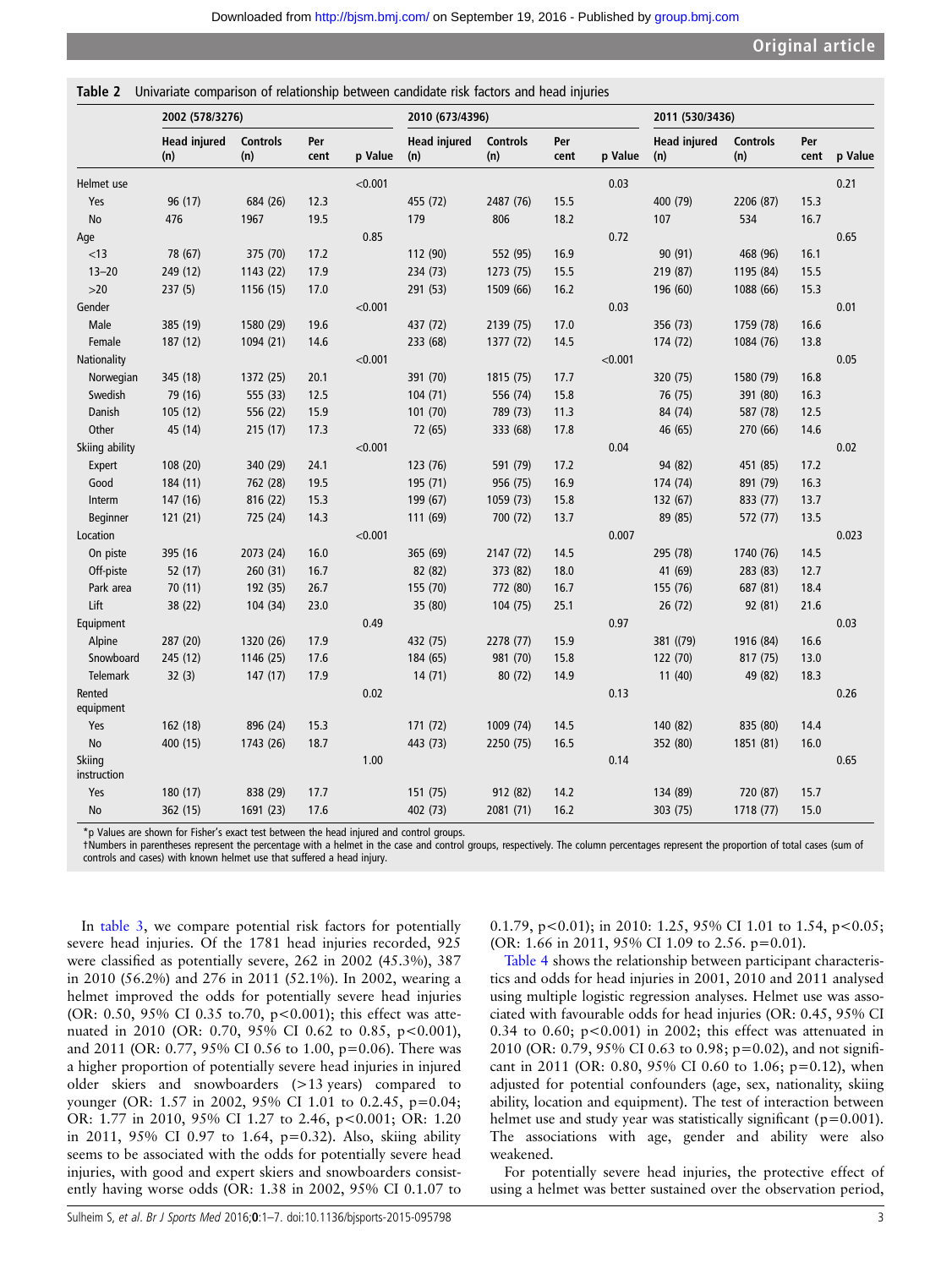<span id="page-2-0"></span>Table 2 Univariate comparison of relationship between candidate risk factors and head injuries

|                       | 2002 (578/3276)            |                        |             | 2010 (673/4396) |                            |                        | 2011 (530/3436) |         |                            |                        |             |         |
|-----------------------|----------------------------|------------------------|-------------|-----------------|----------------------------|------------------------|-----------------|---------|----------------------------|------------------------|-------------|---------|
|                       | <b>Head injured</b><br>(n) | <b>Controls</b><br>(n) | Per<br>cent | p Value         | <b>Head injured</b><br>(n) | <b>Controls</b><br>(n) | Per<br>cent     | p Value | <b>Head injured</b><br>(n) | <b>Controls</b><br>(n) | Per<br>cent | p Value |
| Helmet use            |                            |                        |             | < 0.001         |                            |                        |                 | 0.03    |                            |                        |             | 0.21    |
| Yes                   | 96 (17)                    | 684 (26)               | 12.3        |                 | 455 (72)                   | 2487 (76)              | 15.5            |         | 400 (79)                   | 2206 (87)              | 15.3        |         |
| <b>No</b>             | 476                        | 1967                   | 19.5        |                 | 179                        | 806                    | 18.2            |         | 107                        | 534                    | 16.7        |         |
| Age                   |                            |                        |             | 0.85            |                            |                        |                 | 0.72    |                            |                        |             | 0.65    |
| $<$ 13                | 78 (67)                    | 375 (70)               | 17.2        |                 | 112 (90)                   | 552 (95)               | 16.9            |         | 90 (91)                    | 468 (96)               | 16.1        |         |
| $13 - 20$             | 249 (12)                   | 1143 (22)              | 17.9        |                 | 234 (73)                   | 1273 (75)              | 15.5            |         | 219 (87)                   | 1195 (84)              | 15.5        |         |
| $>20$                 | 237(5)                     | 1156 (15)              | 17.0        |                 | 291 (53)                   | 1509 (66)              | 16.2            |         | 196 (60)                   | 1088 (66)              | 15.3        |         |
| Gender                |                            |                        |             | < 0.001         |                            |                        |                 | 0.03    |                            |                        |             | 0.01    |
| Male                  | 385 (19)                   | 1580 (29)              | 19.6        |                 | 437 (72)                   | 2139 (75)              | 17.0            |         | 356 (73)                   | 1759 (78)              | 16.6        |         |
| Female                | 187 (12)                   | 1094 (21)              | 14.6        |                 | 233 (68)                   | 1377 (72)              | 14.5            |         | 174 (72)                   | 1084 (76)              | 13.8        |         |
| Nationality           |                            |                        |             | < 0.001         |                            |                        |                 | < 0.001 |                            |                        |             | 0.05    |
| Norwegian             | 345 (18)                   | 1372 (25)              | 20.1        |                 | 391 (70)                   | 1815 (75)              | 17.7            |         | 320 (75)                   | 1580 (79)              | 16.8        |         |
| Swedish               | 79 (16)                    | 555 (33)               | 12.5        |                 | 104 (71)                   | 556 (74)               | 15.8            |         | 76 (75)                    | 391 (80)               | 16.3        |         |
| Danish                | 105(12)                    | 556 (22)               | 15.9        |                 | 101 (70)                   | 789 (73)               | 11.3            |         | 84 (74)                    | 587 (78)               | 12.5        |         |
| Other                 | 45 (14)                    | 215(17)                | 17.3        |                 | 72 (65)                    | 333 (68)               | 17.8            |         | 46 (65)                    | 270 (66)               | 14.6        |         |
| Skiing ability        |                            |                        |             | < 0.001         |                            |                        |                 | 0.04    |                            |                        |             | 0.02    |
| Expert                | 108 (20)                   | 340 (29)               | 24.1        |                 | 123 (76)                   | 591 (79)               | 17.2            |         | 94 (82)                    | 451 (85)               | 17.2        |         |
| Good                  | 184 (11)                   | 762 (28)               | 19.5        |                 | 195 (71)                   | 956 (75)               | 16.9            |         | 174 (74)                   | 891 (79)               | 16.3        |         |
| Interm                | 147 (16)                   | 816 (22)               | 15.3        |                 | 199 (67)                   | 1059 (73)              | 15.8            |         | 132 (67)                   | 833 (77)               | 13.7        |         |
| Beginner              | 121(21)                    | 725 (24)               | 14.3        |                 | 111 (69)                   | 700 (72)               | 13.7            |         | 89 (85)                    | 572 (77)               | 13.5        |         |
| Location              |                            |                        |             | < 0.001         |                            |                        |                 | 0.007   |                            |                        |             | 0.023   |
| On piste              | 395 (16                    | 2073 (24)              | 16.0        |                 | 365 (69)                   | 2147 (72)              | 14.5            |         | 295 (78)                   | 1740 (76)              | 14.5        |         |
| Off-piste             | 52 (17)                    | 260 (31)               | 16.7        |                 | 82 (82)                    | 373 (82)               | 18.0            |         | 41 (69)                    | 283 (83)               | 12.7        |         |
| Park area             | 70 (11)                    | 192 (35)               | 26.7        |                 | 155 (70)                   | 772 (80)               | 16.7            |         | 155 (76)                   | 687 (81)               | 18.4        |         |
| Lift                  | 38 (22)                    | 104 (34)               | 23.0        |                 | 35 (80)                    | 104 (75)               | 25.1            |         | 26(72)                     | 92 (81)                | 21.6        |         |
| Equipment             |                            |                        |             | 0.49            |                            |                        |                 | 0.97    |                            |                        |             | 0.03    |
| Alpine                | 287 (20)                   | 1320 (26)              | 17.9        |                 | 432 (75)                   | 2278 (77)              | 15.9            |         | 381 ((79)                  | 1916 (84)              | 16.6        |         |
| Snowboard             | 245 (12)                   | 1146 (25)              | 17.6        |                 | 184 (65)                   | 981 (70)               | 15.8            |         | 122 (70)                   | 817 (75)               | 13.0        |         |
| <b>Telemark</b>       | 32(3)                      | 147(17)                | 17.9        |                 | 14(71)                     | 80 (72)                | 14.9            |         | 11(40)                     | 49 (82)                | 18.3        |         |
| Rented<br>equipment   |                            |                        |             | 0.02            |                            |                        |                 | 0.13    |                            |                        |             | 0.26    |
| Yes                   | 162 (18)                   | 896 (24)               | 15.3        |                 | 171 (72)                   | 1009 (74)              | 14.5            |         | 140 (82)                   | 835 (80)               | 14.4        |         |
| No                    | 400 (15)                   | 1743 (26)              | 18.7        |                 | 443 (73)                   | 2250 (75)              | 16.5            |         | 352 (80)                   | 1851 (81)              | 16.0        |         |
| Skiing<br>instruction |                            |                        |             | 1.00            |                            |                        |                 | 0.14    |                            |                        |             | 0.65    |
| Yes                   | 180 (17)                   | 838 (29)               | 17.7        |                 | 151 (75)                   | 912 (82)               | 14.2            |         | 134 (89)                   | 720 (87)               | 15.7        |         |
| No                    | 362 (15)                   | 1691 (23)              | 17.6        |                 | 402 (73)                   | 2081 (71)              | 16.2            |         | 303 (75)                   | 1718 (77)              | 15.0        |         |

\*p Values are shown for Fisher's exact test between the head injured and control groups.

†Numbers in parentheses represent the percentage with a helmet in the case and control groups, respectively. The column percentages represent the proportion of total cases (sum of controls and cases) with known helmet use that suffered a head injury.

In [table 3](#page-3-0), we compare potential risk factors for potentially severe head injuries. Of the 1781 head injuries recorded, 925 were classified as potentially severe, 262 in 2002 (45.3%), 387 in 2010 (56.2%) and 276 in 2011 (52.1%). In 2002, wearing a helmet improved the odds for potentially severe head injuries (OR: 0.50, 95% CI 0.35 to.70, p<0.001); this effect was attenuated in 2010 (OR: 0.70, 95% CI 0.62 to 0.85, p<0.001), and 2011 (OR: 0.77, 95% CI 0.56 to 1.00, p=0.06). There was a higher proportion of potentially severe head injuries in injured older skiers and snowboarders (>13 years) compared to younger (OR: 1.57 in 2002, 95% CI 1.01 to 0.2.45, p=0.04; OR: 1.77 in 2010, 95% CI 1.27 to 2.46, p<0.001; OR: 1.20 in 2011, 95% CI 0.97 to 1.64, p=0.32). Also, skiing ability seems to be associated with the odds for potentially severe head injuries, with good and expert skiers and snowboarders consistently having worse odds (OR: 1.38 in 2002, 95% CI 0.1.07 to

0.1.79,  $p < 0.01$ ; in 2010: 1.25, 95% CI 1.01 to 1.54,  $p < 0.05$ ; (OR: 1.66 in 2011, 95% CI 1.09 to 2.56. p=0.01).

[Table 4](#page-4-0) shows the relationship between participant characteristics and odds for head injuries in 2001, 2010 and 2011 analysed using multiple logistic regression analyses. Helmet use was associated with favourable odds for head injuries (OR: 0.45, 95% CI 0.34 to 0.60; p<0.001) in 2002; this effect was attenuated in 2010 (OR: 0.79, 95% CI 0.63 to 0.98; p=0.02), and not significant in 2011 (OR: 0.80, 95% CI 0.60 to 1.06; p=0.12), when adjusted for potential confounders (age, sex, nationality, skiing ability, location and equipment). The test of interaction between helmet use and study year was statistically significant ( $p=0.001$ ). The associations with age, gender and ability were also weakened.

For potentially severe head injuries, the protective effect of using a helmet was better sustained over the observation period,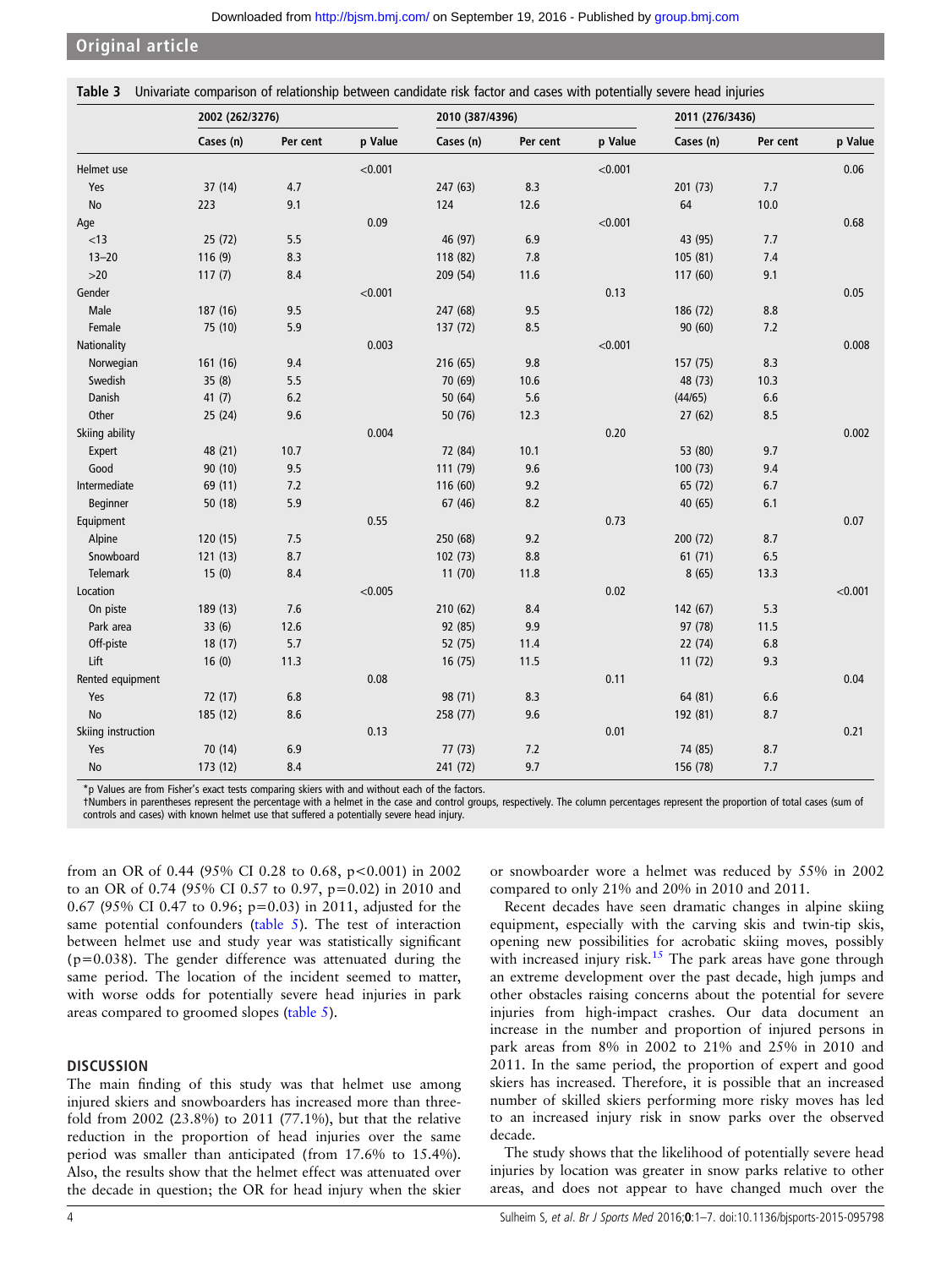<span id="page-3-0"></span>Original article

Table 3 Univariate comparison of relationship between candidate risk factor and cases with potentially severe head injuries

|                    | 2002 (262/3276) |          |         | 2010 (387/4396) |          |         | 2011 (276/3436) |          |         |
|--------------------|-----------------|----------|---------|-----------------|----------|---------|-----------------|----------|---------|
|                    | Cases (n)       | Per cent | p Value | Cases (n)       | Per cent | p Value | Cases (n)       | Per cent | p Value |
| Helmet use         |                 |          | < 0.001 |                 |          | < 0.001 |                 |          | 0.06    |
| Yes                | 37 (14)         | 4.7      |         | 247 (63)        | 8.3      |         | 201 (73)        | 7.7      |         |
| No                 | 223             | 9.1      |         | 124             | 12.6     |         | 64              | $10.0$   |         |
| Age                |                 |          | 0.09    |                 |          | < 0.001 |                 |          | 0.68    |
| < 13               | 25(72)          | 5.5      |         | 46 (97)         | 6.9      |         | 43 (95)         | 7.7      |         |
| $13 - 20$          | 116(9)          | 8.3      |         | 118 (82)        | 7.8      |         | 105 (81)        | 7.4      |         |
| $>20$              | 117(7)          | 8.4      |         | 209 (54)        | 11.6     |         | 117 (60)        | 9.1      |         |
| Gender             |                 |          | < 0.001 |                 |          | 0.13    |                 |          | 0.05    |
| Male               | 187 (16)        | 9.5      |         | 247 (68)        | 9.5      |         | 186 (72)        | $8.8\,$  |         |
| Female             | 75 (10)         | 5.9      |         | 137 (72)        | 8.5      |         | 90(60)          | 7.2      |         |
| Nationality        |                 |          | 0.003   |                 |          | < 0.001 |                 |          | 0.008   |
| Norwegian          | 161 (16)        | 9.4      |         | 216 (65)        | 9.8      |         | 157 (75)        | 8.3      |         |
| Swedish            | 35(8)           | 5.5      |         | 70 (69)         | 10.6     |         | 48 (73)         | 10.3     |         |
| Danish             | 41(7)           | 6.2      |         | 50 (64)         | 5.6      |         | (44/65)         | 6.6      |         |
| Other              | 25(24)          | 9.6      |         | 50 (76)         | 12.3     |         | 27(62)          | 8.5      |         |
| Skiing ability     |                 |          | 0.004   |                 |          | 0.20    |                 |          | 0.002   |
| Expert             | 48 (21)         | 10.7     |         | 72 (84)         | 10.1     |         | 53 (80)         | 9.7      |         |
| Good               | 90(10)          | 9.5      |         | 111 (79)        | 9.6      |         | 100(73)         | 9.4      |         |
| Intermediate       | 69 (11)         | 7.2      |         | 116 (60)        | 9.2      |         | 65 (72)         | 6.7      |         |
| Beginner           | 50 (18)         | 5.9      |         | 67 (46)         | 8.2      |         | 40 (65)         | 6.1      |         |
| Equipment          |                 |          | 0.55    |                 |          | 0.73    |                 |          | 0.07    |
| Alpine             | 120 (15)        | 7.5      |         | 250 (68)        | 9.2      |         | 200 (72)        | 8.7      |         |
| Snowboard          | 121(13)         | 8.7      |         | 102 (73)        | 8.8      |         | 61(71)          | 6.5      |         |
| Telemark           | 15(0)           | 8.4      |         | 11(70)          | 11.8     |         | 8(65)           | 13.3     |         |
| Location           |                 |          | < 0.005 |                 |          | 0.02    |                 |          | < 0.001 |
| On piste           | 189 (13)        | 7.6      |         | 210 (62)        | 8.4      |         | 142 (67)        | 5.3      |         |
| Park area          | 33(6)           | 12.6     |         | 92 (85)         | 9.9      |         | 97 (78)         | 11.5     |         |
| Off-piste          | 18(17)          | 5.7      |         | 52 (75)         | 11.4     |         | 22(74)          | 6.8      |         |
| Lift               | 16(0)           | 11.3     |         | 16(75)          | 11.5     |         | 11(72)          | 9.3      |         |
| Rented equipment   |                 |          | 0.08    |                 |          | 0.11    |                 |          | 0.04    |
| Yes                | 72 (17)         | $6.8\,$  |         | 98 (71)         | 8.3      |         | 64 (81)         | $6.6\,$  |         |
| No                 | 185 (12)        | 8.6      |         | 258 (77)        | 9.6      |         | 192 (81)        | 8.7      |         |
| Skiing instruction |                 |          | 0.13    |                 |          | 0.01    |                 |          | 0.21    |
| Yes                | 70 (14)         | 6.9      |         | 77 (73)         | 7.2      |         | 74 (85)         | 8.7      |         |
| No                 | 173 (12)        | 8.4      |         | 241 (72)        | 9.7      |         | 156 (78)        | 7.7      |         |

\*p Values are from Fisher's exact tests comparing skiers with and without each of the factors.

†Numbers in parentheses represent the percentage with a helmet in the case and control groups, respectively. The column percentages represent the proportion of total cases (sum of controls and cases) with known helmet use that suffered a potentially severe head injury.

from an OR of 0.44 (95% CI 0.28 to 0.68, p<0.001) in 2002 to an OR of 0.74 (95% CI 0.57 to 0.97, p=0.02) in 2010 and 0.67 (95% CI 0.47 to 0.96; p=0.03) in 2011, adjusted for the same potential confounders [\(table 5](#page-5-0)). The test of interaction between helmet use and study year was statistically significant  $(p=0.038)$ . The gender difference was attenuated during the same period. The location of the incident seemed to matter, with worse odds for potentially severe head injuries in park areas compared to groomed slopes [\(table 5](#page-5-0)).

## **DISCUSSION**

The main finding of this study was that helmet use among injured skiers and snowboarders has increased more than threefold from 2002 (23.8%) to 2011 (77.1%), but that the relative reduction in the proportion of head injuries over the same period was smaller than anticipated (from 17.6% to 15.4%). Also, the results show that the helmet effect was attenuated over the decade in question; the OR for head injury when the skier

or snowboarder wore a helmet was reduced by 55% in 2002 compared to only 21% and 20% in 2010 and 2011.

Recent decades have seen dramatic changes in alpine skiing equipment, especially with the carving skis and twin-tip skis, opening new possibilities for acrobatic skiing moves, possibly with increased injury risk.<sup>[15](#page-6-0)</sup> The park areas have gone through an extreme development over the past decade, high jumps and other obstacles raising concerns about the potential for severe injuries from high-impact crashes. Our data document an increase in the number and proportion of injured persons in park areas from 8% in 2002 to 21% and 25% in 2010 and 2011. In the same period, the proportion of expert and good skiers has increased. Therefore, it is possible that an increased number of skilled skiers performing more risky moves has led to an increased injury risk in snow parks over the observed decade.

The study shows that the likelihood of potentially severe head injuries by location was greater in snow parks relative to other areas, and does not appear to have changed much over the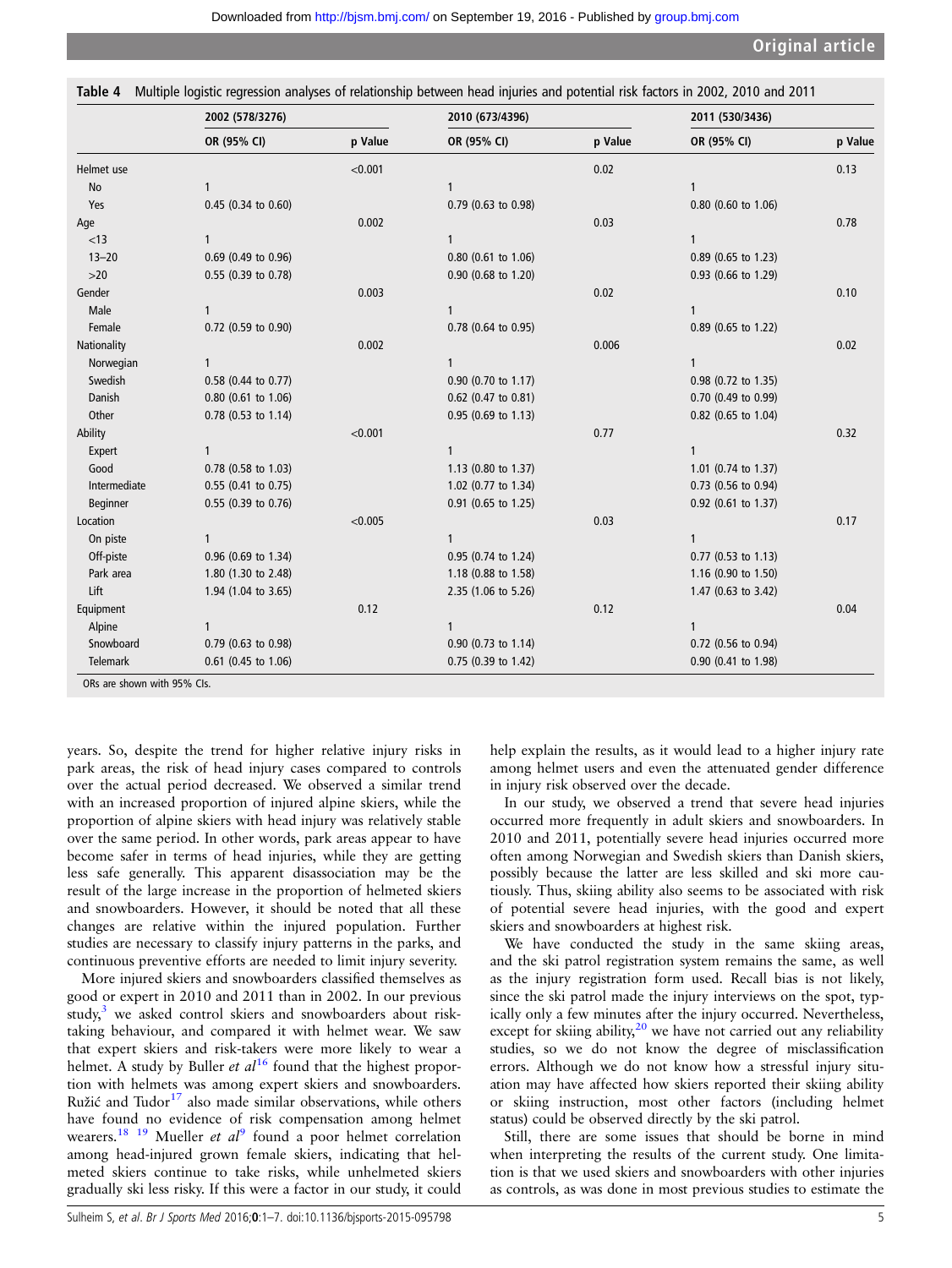<span id="page-4-0"></span>

| Table 4 Multiple logistic regression analyses of relationship between head injuries and potential risk factors in 2002, 2010 and 2011 |  |  |  |  |  |  |
|---------------------------------------------------------------------------------------------------------------------------------------|--|--|--|--|--|--|
|---------------------------------------------------------------------------------------------------------------------------------------|--|--|--|--|--|--|

|               | 2002 (578/3276)     |         | 2010 (673/4396)     |         | 2011 (530/3436)       |         |  |
|---------------|---------------------|---------|---------------------|---------|-----------------------|---------|--|
|               | OR (95% CI)         | p Value | OR (95% CI)         | p Value | OR (95% CI)           | p Value |  |
| Helmet use    |                     | < 0.001 |                     | 0.02    |                       | 0.13    |  |
| No            | $\mathbf{1}$        |         | 1                   |         | $\mathbf{1}$          |         |  |
| Yes           | 0.45 (0.34 to 0.60) |         | 0.79 (0.63 to 0.98) |         | 0.80 (0.60 to 1.06)   |         |  |
| Age           |                     | 0.002   |                     | 0.03    |                       | 0.78    |  |
| < 13          | 1                   |         | 1                   |         | 1                     |         |  |
| $13 - 20$     | 0.69 (0.49 to 0.96) |         | 0.80 (0.61 to 1.06) |         | 0.89 (0.65 to 1.23)   |         |  |
| $>20$         | 0.55 (0.39 to 0.78) |         | 0.90 (0.68 to 1.20) |         | 0.93 (0.66 to 1.29)   |         |  |
| Gender        |                     | 0.003   |                     | 0.02    |                       | 0.10    |  |
| Male          | 1                   |         | $\mathbf{1}$        |         | $\mathbf{1}$          |         |  |
| Female        | 0.72 (0.59 to 0.90) |         | 0.78 (0.64 to 0.95) |         | 0.89 (0.65 to 1.22)   |         |  |
| Nationality   |                     | 0.002   |                     | 0.006   |                       | 0.02    |  |
| Norwegian     | $\mathbf{1}$        |         | $\mathbf{1}$        |         | $\mathbf{1}$          |         |  |
| Swedish       | 0.58 (0.44 to 0.77) |         | 0.90 (0.70 to 1.17) |         | 0.98 (0.72 to 1.35)   |         |  |
| <b>Danish</b> | 0.80 (0.61 to 1.06) |         | 0.62 (0.47 to 0.81) |         | 0.70 (0.49 to 0.99)   |         |  |
| Other         | 0.78 (0.53 to 1.14) |         | 0.95 (0.69 to 1.13) |         | 0.82 (0.65 to 1.04)   |         |  |
| Ability       |                     | < 0.001 |                     | 0.77    |                       | 0.32    |  |
| Expert        | 1                   |         | $\mathbf{1}$        |         | $\mathbf{1}$          |         |  |
| Good          | 0.78 (0.58 to 1.03) |         | 1.13 (0.80 to 1.37) |         | 1.01 (0.74 to 1.37)   |         |  |
| Intermediate  | 0.55 (0.41 to 0.75) |         | 1.02 (0.77 to 1.34) |         | 0.73 (0.56 to 0.94)   |         |  |
| Beginner      | 0.55 (0.39 to 0.76) |         | 0.91 (0.65 to 1.25) |         | 0.92 (0.61 to 1.37)   |         |  |
| Location      |                     | < 0.005 |                     | 0.03    |                       | 0.17    |  |
| On piste      | 1                   |         | 1                   |         | $\mathbf{1}$          |         |  |
| Off-piste     | 0.96 (0.69 to 1.34) |         | 0.95 (0.74 to 1.24) |         | $0.77$ (0.53 to 1.13) |         |  |
| Park area     | 1.80 (1.30 to 2.48) |         | 1.18 (0.88 to 1.58) |         | 1.16 (0.90 to 1.50)   |         |  |
| Lift          | 1.94 (1.04 to 3.65) |         | 2.35 (1.06 to 5.26) |         | 1.47 (0.63 to 3.42)   |         |  |
| Equipment     |                     | 0.12    |                     | 0.12    |                       | 0.04    |  |
| Alpine        | 1                   |         | $\mathbf{1}$        |         | $\mathbf{1}$          |         |  |
| Snowboard     | 0.79 (0.63 to 0.98) |         | 0.90 (0.73 to 1.14) |         | 0.72 (0.56 to 0.94)   |         |  |
| Telemark      | 0.61 (0.45 to 1.06) |         | 0.75 (0.39 to 1.42) |         | 0.90 (0.41 to 1.98)   |         |  |

years. So, despite the trend for higher relative injury risks in park areas, the risk of head injury cases compared to controls over the actual period decreased. We observed a similar trend with an increased proportion of injured alpine skiers, while the proportion of alpine skiers with head injury was relatively stable over the same period. In other words, park areas appear to have become safer in terms of head injuries, while they are getting less safe generally. This apparent disassociation may be the result of the large increase in the proportion of helmeted skiers and snowboarders. However, it should be noted that all these changes are relative within the injured population. Further studies are necessary to classify injury patterns in the parks, and continuous preventive efforts are needed to limit injury severity.

More injured skiers and snowboarders classified themselves as good or expert in 2010 and 2011 than in 2002. In our previous study, $3$  we asked control skiers and snowboarders about risktaking behaviour, and compared it with helmet wear. We saw that expert skiers and risk-takers were more likely to wear a helmet. A study by Buller et  $al^{16}$  $al^{16}$  $al^{16}$  found that the highest proportion with helmets was among expert skiers and snowboarders. Ružić and Tudor $^{17}$  $^{17}$  $^{17}$  also made similar observations, while others have found no evidence of risk compensation among helmet wearers.<sup>18</sup> <sup>1[9](#page-6-0)</sup> Mueller *et al*<sup>9</sup> found a poor helmet correlation among head-injured grown female skiers, indicating that helmeted skiers continue to take risks, while unhelmeted skiers gradually ski less risky. If this were a factor in our study, it could help explain the results, as it would lead to a higher injury rate among helmet users and even the attenuated gender difference in injury risk observed over the decade.

In our study, we observed a trend that severe head injuries occurred more frequently in adult skiers and snowboarders. In 2010 and 2011, potentially severe head injuries occurred more often among Norwegian and Swedish skiers than Danish skiers, possibly because the latter are less skilled and ski more cautiously. Thus, skiing ability also seems to be associated with risk of potential severe head injuries, with the good and expert skiers and snowboarders at highest risk.

We have conducted the study in the same skiing areas, and the ski patrol registration system remains the same, as well as the injury registration form used. Recall bias is not likely, since the ski patrol made the injury interviews on the spot, typically only a few minutes after the injury occurred. Nevertheless, except for skiing ability, $20$  we have not carried out any reliability studies, so we do not know the degree of misclassification errors. Although we do not know how a stressful injury situation may have affected how skiers reported their skiing ability or skiing instruction, most other factors (including helmet status) could be observed directly by the ski patrol.

Still, there are some issues that should be borne in mind when interpreting the results of the current study. One limitation is that we used skiers and snowboarders with other injuries as controls, as was done in most previous studies to estimate the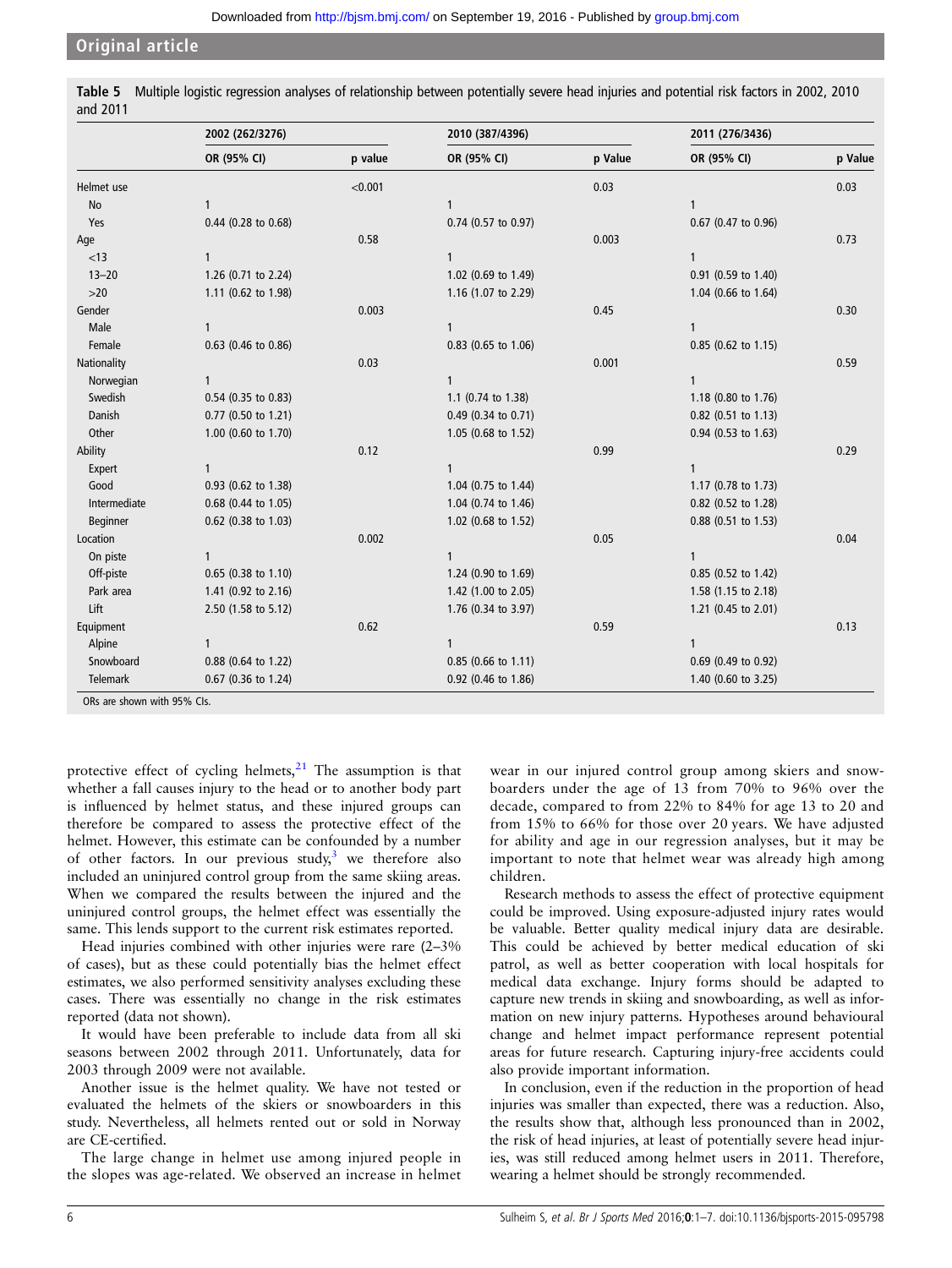# <span id="page-5-0"></span>Original article

| Table 5<br>and 2011 |                 | Multiple logistic regression analyses of relationship between potentially severe head injuries and potential risk factors in 2002, 2010 |                 |
|---------------------|-----------------|-----------------------------------------------------------------------------------------------------------------------------------------|-----------------|
|                     | 2002 (262/3276) | 2010 (387/4396)                                                                                                                         | 2011 (276/3436) |

|              | 2002 (262/3276)     |         | 2010 (387/4396)       |         | 2011 (276/3436)     |         |  |
|--------------|---------------------|---------|-----------------------|---------|---------------------|---------|--|
|              | OR (95% CI)         | p value | OR (95% CI)           | p Value | OR (95% CI)         | p Value |  |
| Helmet use   |                     | < 0.001 |                       | 0.03    |                     | 0.03    |  |
| No           | 1                   |         | 1                     |         | 1                   |         |  |
| Yes          | 0.44 (0.28 to 0.68) |         | 0.74 (0.57 to 0.97)   |         | 0.67 (0.47 to 0.96) |         |  |
| Age          |                     | 0.58    |                       | 0.003   |                     | 0.73    |  |
| < 13         | $\mathbf{1}$        |         | 1                     |         | $\mathbf{1}$        |         |  |
| $13 - 20$    | 1.26 (0.71 to 2.24) |         | 1.02 (0.69 to 1.49)   |         | 0.91 (0.59 to 1.40) |         |  |
| $>20$        | 1.11 (0.62 to 1.98) |         | 1.16 (1.07 to 2.29)   |         | 1.04 (0.66 to 1.64) |         |  |
| Gender       |                     | 0.003   |                       | 0.45    |                     | 0.30    |  |
| Male         | $\mathbf{1}$        |         | 1                     |         | 1                   |         |  |
| Female       | 0.63 (0.46 to 0.86) |         | 0.83 (0.65 to 1.06)   |         | 0.85 (0.62 to 1.15) |         |  |
| Nationality  |                     | 0.03    |                       | 0.001   |                     | 0.59    |  |
| Norwegian    | $\mathbf{1}$        |         | 1                     |         | $\mathbf{1}$        |         |  |
| Swedish      | 0.54 (0.35 to 0.83) |         | 1.1 (0.74 to 1.38)    |         | 1.18 (0.80 to 1.76) |         |  |
| Danish       | 0.77 (0.50 to 1.21) |         | 0.49 (0.34 to 0.71)   |         | 0.82 (0.51 to 1.13) |         |  |
| Other        | 1.00 (0.60 to 1.70) |         | 1.05 (0.68 to 1.52)   |         | 0.94 (0.53 to 1.63) |         |  |
| Ability      |                     | 0.12    |                       | 0.99    |                     | 0.29    |  |
| Expert       | $\mathbf{1}$        |         | 1                     |         | $\mathbf{1}$        |         |  |
| Good         | 0.93 (0.62 to 1.38) |         | 1.04 (0.75 to 1.44)   |         | 1.17 (0.78 to 1.73) |         |  |
| Intermediate | 0.68 (0.44 to 1.05) |         | 1.04 (0.74 to 1.46)   |         | 0.82 (0.52 to 1.28) |         |  |
| Beginner     | 0.62 (0.38 to 1.03) |         | 1.02 (0.68 to 1.52)   |         | 0.88 (0.51 to 1.53) |         |  |
| Location     |                     | 0.002   |                       | 0.05    |                     | 0.04    |  |
| On piste     |                     |         | 1                     |         | 1                   |         |  |
| Off-piste    | 0.65 (0.38 to 1.10) |         | 1.24 (0.90 to 1.69)   |         | 0.85 (0.52 to 1.42) |         |  |
| Park area    | 1.41 (0.92 to 2.16) |         | 1.42 (1.00 to 2.05)   |         | 1.58 (1.15 to 2.18) |         |  |
| Lift         | 2.50 (1.58 to 5.12) |         | 1.76 (0.34 to 3.97)   |         | 1.21 (0.45 to 2.01) |         |  |
| Equipment    |                     | 0.62    |                       | 0.59    |                     | 0.13    |  |
| Alpine       | 1                   |         | 1                     |         | 1                   |         |  |
| Snowboard    | 0.88 (0.64 to 1.22) |         | $0.85$ (0.66 to 1.11) |         | 0.69 (0.49 to 0.92) |         |  |
| Telemark     | 0.67 (0.36 to 1.24) |         | 0.92 (0.46 to 1.86)   |         | 1.40 (0.60 to 3.25) |         |  |

protective effect of cycling helmets, $21$  The assumption is that whether a fall causes injury to the head or to another body part is influenced by helmet status, and these injured groups can therefore be compared to assess the protective effect of the helmet. However, this estimate can be confounded by a number of other factors. In our previous study, $3$  we therefore also included an uninjured control group from the same skiing areas. When we compared the results between the injured and the uninjured control groups, the helmet effect was essentially the same. This lends support to the current risk estimates reported.

Head injuries combined with other injuries were rare (2–3% of cases), but as these could potentially bias the helmet effect estimates, we also performed sensitivity analyses excluding these cases. There was essentially no change in the risk estimates reported (data not shown).

It would have been preferable to include data from all ski seasons between 2002 through 2011. Unfortunately, data for 2003 through 2009 were not available.

Another issue is the helmet quality. We have not tested or evaluated the helmets of the skiers or snowboarders in this study. Nevertheless, all helmets rented out or sold in Norway are CE-certified.

The large change in helmet use among injured people in the slopes was age-related. We observed an increase in helmet

wear in our injured control group among skiers and snowboarders under the age of 13 from 70% to 96% over the decade, compared to from 22% to 84% for age 13 to 20 and from 15% to 66% for those over 20 years. We have adjusted for ability and age in our regression analyses, but it may be important to note that helmet wear was already high among children.

Research methods to assess the effect of protective equipment could be improved. Using exposure-adjusted injury rates would be valuable. Better quality medical injury data are desirable. This could be achieved by better medical education of ski patrol, as well as better cooperation with local hospitals for medical data exchange. Injury forms should be adapted to capture new trends in skiing and snowboarding, as well as information on new injury patterns. Hypotheses around behavioural change and helmet impact performance represent potential areas for future research. Capturing injury-free accidents could also provide important information.

In conclusion, even if the reduction in the proportion of head injuries was smaller than expected, there was a reduction. Also, the results show that, although less pronounced than in 2002, the risk of head injuries, at least of potentially severe head injuries, was still reduced among helmet users in 2011. Therefore, wearing a helmet should be strongly recommended.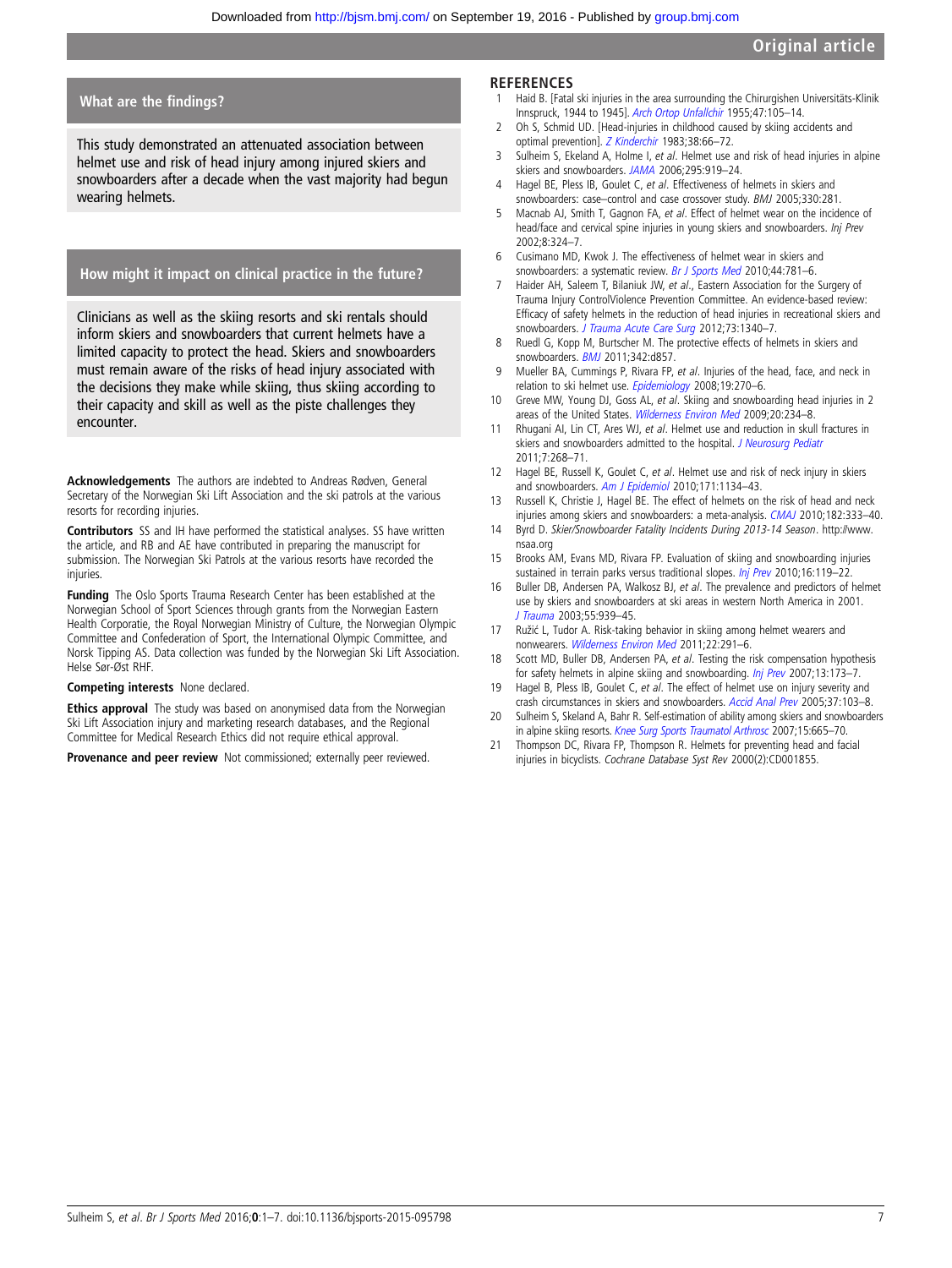# <span id="page-6-0"></span>What are the findings?

This study demonstrated an attenuated association between helmet use and risk of head injury among injured skiers and snowboarders after a decade when the vast majority had begun wearing helmets.

# How might it impact on clinical practice in the future?

Clinicians as well as the skiing resorts and ski rentals should inform skiers and snowboarders that current helmets have a limited capacity to protect the head. Skiers and snowboarders must remain aware of the risks of head injury associated with the decisions they make while skiing, thus skiing according to their capacity and skill as well as the piste challenges they encounter.

Acknowledgements The authors are indebted to Andreas Rødven, General Secretary of the Norwegian Ski Lift Association and the ski patrols at the various resorts for recording injuries.

Contributors SS and IH have performed the statistical analyses. SS have written the article, and RB and AE have contributed in preparing the manuscript for submission. The Norwegian Ski Patrols at the various resorts have recorded the injuries.

Funding The Oslo Sports Trauma Research Center has been established at the Norwegian School of Sport Sciences through grants from the Norwegian Eastern Health Corporatie, the Royal Norwegian Ministry of Culture, the Norwegian Olympic Committee and Confederation of Sport, the International Olympic Committee, and Norsk Tipping AS. Data collection was funded by the Norwegian Ski Lift Association. Helse Sør-Øst RHF.

#### Competing interests None declared.

Ethics approval The study was based on anonymised data from the Norwegian Ski Lift Association injury and marketing research databases, and the Regional Committee for Medical Research Ethics did not require ethical approval.

Provenance and peer review Not commissioned; externally peer reviewed.

### **REFERENCES**

- 1 Haid B. [Fatal ski injuries in the area surrounding the Chirurgishen Universitäts-Klinik Innspruck, 1944 to 1945]. [Arch Ortop Unfallchir](http://dx.doi.org/10.1007/BF00499205) 1955;47:105–14.
- 2 Oh S, Schmid UD. [Head-injuries in childhood caused by skiing accidents and optimal prevention]. [Z Kinderchir](http://dx.doi.org/10.1055/s-2008-1059941) 1983;38:66–72.
- Sulheim S, Ekeland A, Holme I, et al. Helmet use and risk of head injuries in alpine skiers and snowboarders. [JAMA](http://dx.doi.org/10.1001/jama.295.8.919) 2006;295:919–24.
- 4 Hagel BE, Pless IB, Goulet C, et al. Effectiveness of helmets in skiers and snowboarders: case–control and case crossover study. BMJ 2005;330:281.
- 5 Macnab AJ, Smith T, Gagnon FA, et al. Effect of helmet wear on the incidence of head/face and cervical spine injuries in young skiers and snowboarders. Inj Prev 2002;8:324–7.
- 6 Cusimano MD, Kwok J. The effectiveness of helmet wear in skiers and snowboarders: a systematic review. [Br J Sports Med](http://dx.doi.org/10.1136/bjsm.2009.070573) 2010;44:781-6.
- 7 Haider AH, Saleem T, Bilaniuk JW, et al., Eastern Association for the Surgery of Trauma Injury ControlViolence Prevention Committee. An evidence-based review: Efficacy of safety helmets in the reduction of head injuries in recreational skiers and snowboarders. [J Trauma Acute Care Surg](http://dx.doi.org/10.1097/TA.0b013e318270bbca) 2012;73:1340-7.
- Ruedl G, Kopp M, Burtscher M. The protective effects of helmets in skiers and snowboarders. **[BMJ](http://dx.doi.org/10.1136/bmj.d857)** 2011;342:d857.
- 9 Mueller BA, Cummings P, Rivara FP, et al. Injuries of the head, face, and neck in relation to ski helmet use. [Epidemiology](http://dx.doi.org/10.1097/EDE.0b013e318163567c) 2008;19:270-6.
- 10 Greve MW, Young DJ, Goss AL, et al. Skiing and snowboarding head injuries in 2 areas of the United States. [Wilderness Environ Med](http://dx.doi.org/10.1580/08-WEME-OR-244R1.1) 2009;20:234-8.
- 11 Rhugani AI, Lin CT, Ares WJ, et al. Helmet use and reduction in skull fractures in skiers and snowboarders admitted to the hospital. [J Neurosurg Pediatr](http://dx.doi.org/10.3171/2010.12.PEDS10415) 2011;7:268–71.
- 12 Hagel BE, Russell K, Goulet C, et al. Helmet use and risk of neck injury in skiers and snowboarders. [Am J Epidemiol](http://dx.doi.org/10.1093/aje/kwq039) 2010;171:1134-43.
- 13 Russell K, Christie J, Hagel BE. The effect of helmets on the risk of head and neck injuries among skiers and snowboarders: a meta-analysis. [CMAJ](http://dx.doi.org/10.1503/cmaj.091080) 2010;182:333-40.
- 14 Byrd D. Skier/Snowboarder Fatality Incidents During 2013-14 Season. [http://www.](http://www.nsaa.org) [nsaa.org](http://www.nsaa.org)
- 15 Brooks AM, Evans MD, Rivara FP. Evaluation of skiing and snowboarding injuries sustained in terrain parks versus traditional slopes. [Inj Prev](http://dx.doi.org/10.1136/ip.2009.022608) 2010;16:119-22.
- 16 Buller DB, Andersen PA, Walkosz BJ, et al. The prevalence and predictors of helmet use by skiers and snowboarders at ski areas in western North America in 2001. [J Trauma](http://dx.doi.org/10.1097/01.TA.0000078694.53320.CA) 2003;55:939–45.
- 17 Ružić L, Tudor A. Risk-taking behavior in skiing among helmet wearers and nonwearers. [Wilderness Environ Med](http://dx.doi.org/10.1016/j.wem.2011.09.001) 2011;22:291–6.
- 18 Scott MD, Buller DB, Andersen PA, et al. Testing the risk compensation hypothesis for safety helmets in alpine skiing and snowboarding. [Inj Prev](http://dx.doi.org/10.1136/ip.2006.014142) 2007;13:173-7.
- 19 Hagel B, Pless IB, Goulet C, et al. The effect of helmet use on injury severity and crash circumstances in skiers and snowboarders. [Accid Anal Prev](http://dx.doi.org/10.1016/j.aap.2004.04.003) 2005;37:103–8.
- 20 Sulheim S, Skeland A, Bahr R. Self-estimation of ability among skiers and snowboarders in alpine skiing resorts. [Knee Surg Sports Traumatol Arthrosc](http://dx.doi.org/10.1007/s00167-006-0122-x) 2007;15:665-70.
- 21 Thompson DC, Rivara FP, Thompson R. Helmets for preventing head and facial injuries in bicyclists. Cochrane Database Syst Rev 2000(2):CD001855.